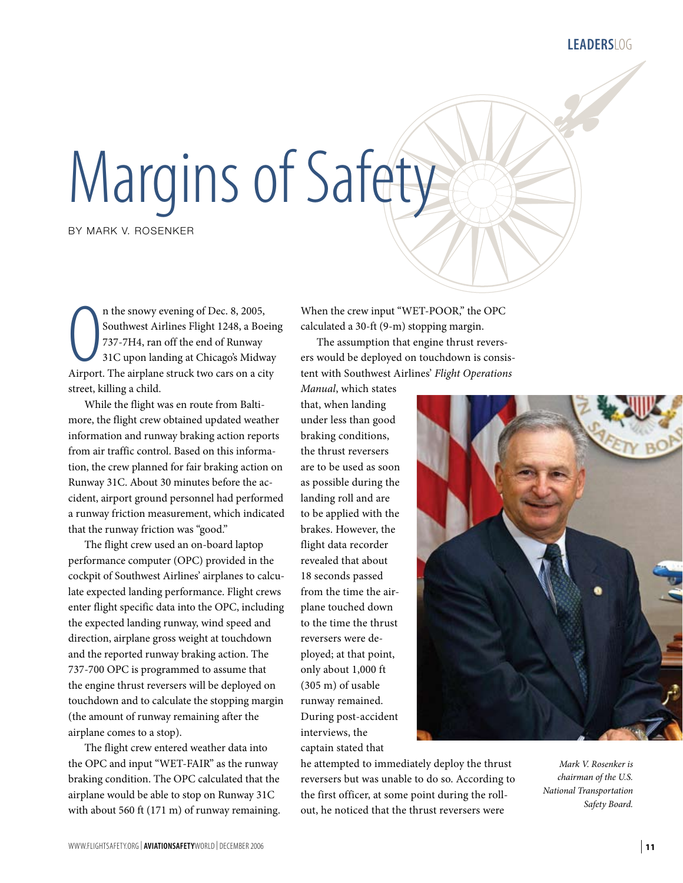**Leaders**LOG

## Margins of Safety

BY MARK V. ROSENKER

n the snowy evening of Dec. 8, 2005,<br>Southwest Airlines Flight 1248, a Boein<br>737-7H4, ran off the end of Runway<br>31C upon landing at Chicago's Midway<br>Airport. The airplane struck two cars on a city n the snowy evening of Dec. 8, 2005, Southwest Airlines Flight 1248, a Boeing 737-7H4, ran off the end of Runway 31C upon landing at Chicago's Midway street, killing a child.

While the flight was en route from Baltimore, the flight crew obtained updated weather information and runway braking action reports from air traffic control. Based on this information, the crew planned for fair braking action on Runway 31C. About 30 minutes before the accident, airport ground personnel had performed a runway friction measurement, which indicated that the runway friction was "good."

The flight crew used an on-board laptop performance computer (OPC) provided in the cockpit of Southwest Airlines' airplanes to calculate expected landing performance. Flight crews enter flight specific data into the OPC, including the expected landing runway, wind speed and direction, airplane gross weight at touchdown and the reported runway braking action. The 737-700 OPC is programmed to assume that the engine thrust reversers will be deployed on touchdown and to calculate the stopping margin (the amount of runway remaining after the airplane comes to a stop).

The flight crew entered weather data into the OPC and input "WET-FAIR" as the runway braking condition. The OPC calculated that the airplane would be able to stop on Runway 31C with about 560 ft (171 m) of runway remaining. When the crew input "WET-POOR," the OPC calculated a 30-ft (9-m) stopping margin.

The assumption that engine thrust reversers would be deployed on touchdown is consistent with Southwest Airlines' *Flight Operations* 

*Manual*, which states that, when landing under less than good braking conditions, the thrust reversers are to be used as soon as possible during the landing roll and are to be applied with the brakes. However, the flight data recorder revealed that about 18 seconds passed from the time the airplane touched down to the time the thrust reversers were deployed; at that point, only about 1,000 ft (305 m) of usable runway remained. During post-accident interviews, the captain stated that



*Mark V. Rosenker is chairman of the U.S. National Transportation Safety Board.*